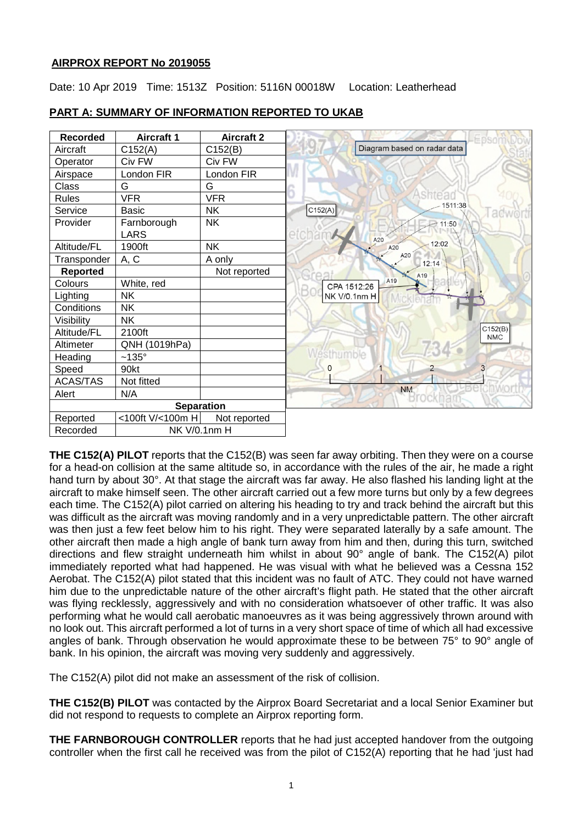## **AIRPROX REPORT No 201905[5](#page-1-0)**

Date: 10 Apr 2019 Time: 1513Z Position: 5116N 00018W Location: Leatherhead



# **PART A: SUMMARY OF INFORMATION REPORTED TO UKAB**

**THE C152(A) PILOT** reports that the C152(B) was seen far away orbiting. Then they were on a course for a head-on collision at the same altitude so, in accordance with the rules of the air, he made a right hand turn by about 30°. At that stage the aircraft was far away. He also flashed his landing light at the aircraft to make himself seen. The other aircraft carried out a few more turns but only by a few degrees each time. The C152(A) pilot carried on altering his heading to try and track behind the aircraft but this was difficult as the aircraft was moving randomly and in a very unpredictable pattern. The other aircraft was then just a few feet below him to his right. They were separated laterally by a safe amount. The other aircraft then made a high angle of bank turn away from him and then, during this turn, switched directions and flew straight underneath him whilst in about 90° angle of bank. The C152(A) pilot immediately reported what had happened. He was visual with what he believed was a Cessna 152 Aerobat. The C152(A) pilot stated that this incident was no fault of ATC. They could not have warned him due to the unpredictable nature of the other aircraft's flight path. He stated that the other aircraft was flying recklessly, aggressively and with no consideration whatsoever of other traffic. It was also performing what he would call aerobatic manoeuvres as it was being aggressively thrown around with no look out. This aircraft performed a lot of turns in a very short space of time of which all had excessive angles of bank. Through observation he would approximate these to be between 75° to 90° angle of bank. In his opinion, the aircraft was moving very suddenly and aggressively.

The C152(A) pilot did not make an assessment of the risk of collision.

**THE C152(B) PILOT** was contacted by the Airprox Board Secretariat and a local Senior Examiner but did not respond to requests to complete an Airprox reporting form.

**THE FARNBOROUGH CONTROLLER** reports that he had just accepted handover from the outgoing controller when the first call he received was from the pilot of C152(A) reporting that he had 'just had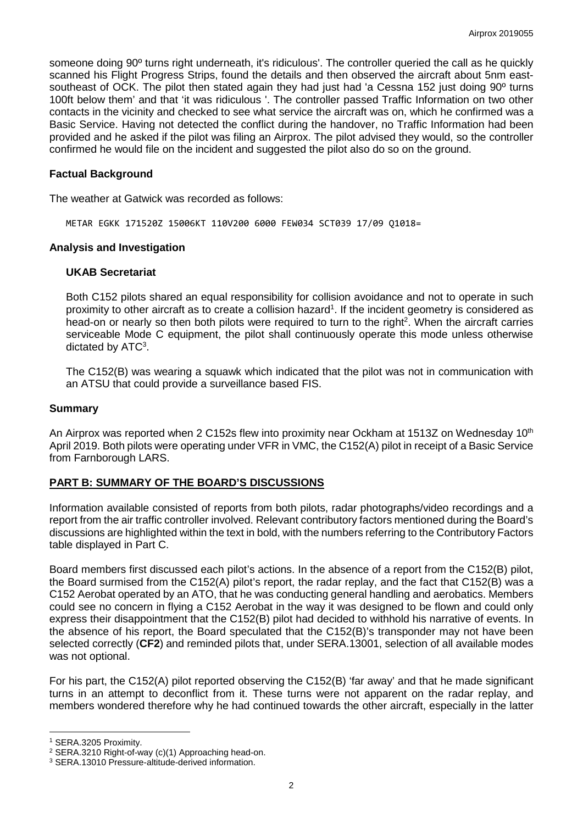someone doing 90<sup>°</sup> turns right underneath, it's ridiculous'. The controller queried the call as he quickly scanned his Flight Progress Strips, found the details and then observed the aircraft about 5nm eastsoutheast of OCK. The pilot then stated again they had just had 'a Cessna 152 just doing 90º turns 100ft below them' and that 'it was ridiculous '. The controller passed Traffic Information on two other contacts in the vicinity and checked to see what service the aircraft was on, which he confirmed was a Basic Service. Having not detected the conflict during the handover, no Traffic Information had been provided and he asked if the pilot was filing an Airprox. The pilot advised they would, so the controller confirmed he would file on the incident and suggested the pilot also do so on the ground.

#### **Factual Background**

The weather at Gatwick was recorded as follows:

METAR EGKK 171520Z 15006KT 110V200 6000 FEW034 SCT039 17/09 Q1018=

#### **Analysis and Investigation**

#### **UKAB Secretariat**

Both C152 pilots shared an equal responsibility for collision avoidance and not to operate in such proximity to other aircraft as to create a collision hazard<sup>1</sup>. If the incident geometry is considered as head-on or nearly so then both pilots were required to turn to the right<sup>2</sup>. When the aircraft carries serviceable Mode C equipment, the pilot shall continuously operate this mode unless otherwise dictated by ATC<sup>3</sup>.

The C152(B) was wearing a squawk which indicated that the pilot was not in communication with an ATSU that could provide a surveillance based FIS.

#### **Summary**

An Airprox was reported when 2 C152s flew into proximity near Ockham at 1513Z on Wednesday 10<sup>th</sup> April 2019. Both pilots were operating under VFR in VMC, the C152(A) pilot in receipt of a Basic Service from Farnborough LARS.

## **PART B: SUMMARY OF THE BOARD'S DISCUSSIONS**

Information available consisted of reports from both pilots, radar photographs/video recordings and a report from the air traffic controller involved. Relevant contributory factors mentioned during the Board's discussions are highlighted within the text in bold, with the numbers referring to the Contributory Factors table displayed in Part C.

Board members first discussed each pilot's actions. In the absence of a report from the C152(B) pilot, the Board surmised from the C152(A) pilot's report, the radar replay, and the fact that C152(B) was a C152 Aerobat operated by an ATO, that he was conducting general handling and aerobatics. Members could see no concern in flying a C152 Aerobat in the way it was designed to be flown and could only express their disappointment that the C152(B) pilot had decided to withhold his narrative of events. In the absence of his report, the Board speculated that the C152(B)'s transponder may not have been selected correctly (**CF2**) and reminded pilots that, under SERA.13001, selection of all available modes was not optional.

For his part, the C152(A) pilot reported observing the C152(B) 'far away' and that he made significant turns in an attempt to deconflict from it. These turns were not apparent on the radar replay, and members wondered therefore why he had continued towards the other aircraft, especially in the latter

 $\overline{\phantom{a}}$ 

<span id="page-1-0"></span><sup>1</sup> SERA.3205 Proximity.

<sup>2</sup> SERA.3210 Right-of-way (c)(1) Approaching head-on.

<sup>3</sup> SERA.13010 Pressure-altitude-derived information.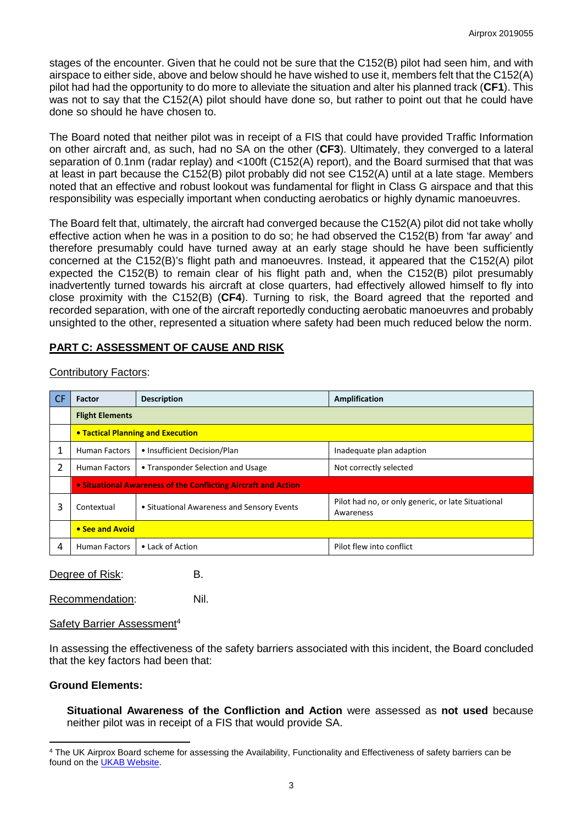stages of the encounter. Given that he could not be sure that the C152(B) pilot had seen him, and with airspace to either side, above and below should he have wished to use it, members felt that the C152(A) pilot had had the opportunity to do more to alleviate the situation and alter his planned track (**CF1**). This was not to say that the C152(A) pilot should have done so, but rather to point out that he could have done so should he have chosen to.

The Board noted that neither pilot was in receipt of a FIS that could have provided Traffic Information on other aircraft and, as such, had no SA on the other (**CF3**). Ultimately, they converged to a lateral separation of 0.1nm (radar replay) and <100ft (C152(A) report), and the Board surmised that that was at least in part because the C152(B) pilot probably did not see C152(A) until at a late stage. Members noted that an effective and robust lookout was fundamental for flight in Class G airspace and that this responsibility was especially important when conducting aerobatics or highly dynamic manoeuvres.

The Board felt that, ultimately, the aircraft had converged because the C152(A) pilot did not take wholly effective action when he was in a position to do so; he had observed the C152(B) from 'far away' and therefore presumably could have turned away at an early stage should he have been sufficiently concerned at the C152(B)'s flight path and manoeuvres. Instead, it appeared that the C152(A) pilot expected the C152(B) to remain clear of his flight path and, when the C152(B) pilot presumably inadvertently turned towards his aircraft at close quarters, had effectively allowed himself to fly into close proximity with the C152(B) (**CF4**). Turning to risk, the Board agreed that the reported and recorded separation, with one of the aircraft reportedly conducting aerobatic manoeuvres and probably unsighted to the other, represented a situation where safety had been much reduced below the norm.

# **PART C: ASSESSMENT OF CAUSE AND RISK**

| -CF | <b>Factor</b>                                                  | <b>Description</b>                         | Amplification                                                   |
|-----|----------------------------------------------------------------|--------------------------------------------|-----------------------------------------------------------------|
|     | <b>Flight Elements</b>                                         |                                            |                                                                 |
|     | <b>• Tactical Planning and Execution</b>                       |                                            |                                                                 |
|     | <b>Human Factors</b>                                           | • Insufficient Decision/Plan               | Inadequate plan adaption                                        |
| 2   | <b>Human Factors</b>                                           | • Transponder Selection and Usage          | Not correctly selected                                          |
|     | • Situational Awareness of the Conflicting Aircraft and Action |                                            |                                                                 |
| 3   | Contextual                                                     | • Situational Awareness and Sensory Events | Pilot had no, or only generic, or late Situational<br>Awareness |
|     | • See and Avoid                                                |                                            |                                                                 |
| 4   | <b>Human Factors</b>                                           | • Lack of Action                           | Pilot flew into conflict                                        |

## Contributory Factors:

Degree of Risk: B.

Recommendation: Nil.

## Safety Barrier Assessment4

In assessing the effectiveness of the safety barriers associated with this incident, the Board concluded that the key factors had been that:

## **Ground Elements:**

l

**Situational Awareness of the Confliction and Action** were assessed as **not used** because neither pilot was in receipt of a FIS that would provide SA.

<sup>4</sup> The UK Airprox Board scheme for assessing the Availability, Functionality and Effectiveness of safety barriers can be found on the [UKAB Website.](http://www.airproxboard.org.uk/Learn-more/Airprox-Barrier-Assessment/)